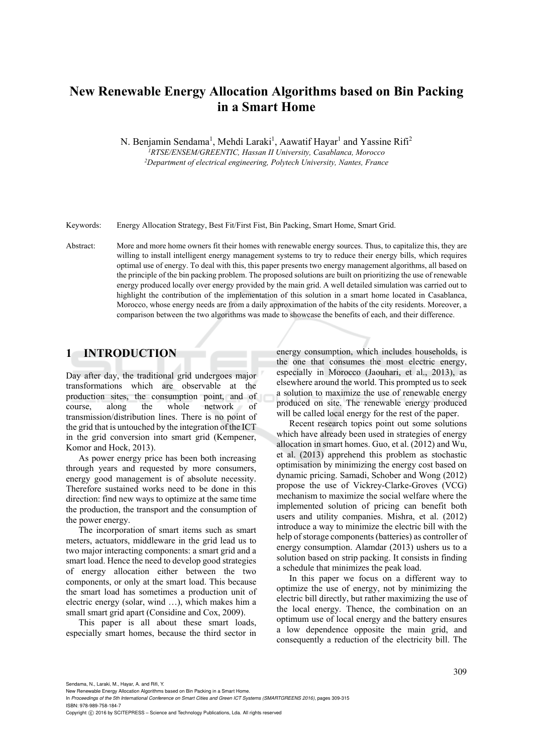# **New Renewable Energy Allocation Algorithms based on Bin Packing in a Smart Home**

N. Benjamin Sendama<sup>1</sup>, Mehdi Laraki<sup>1</sup>, Aawatif Hayar<sup>1</sup> and Yassine Rifi<sup>2</sup> *1RTSE/ENSEM/GREENTIC, Hassan II University, Casablanca, Morocco 2 Department of electrical engineering, Polytech University, Nantes, France* 

Keywords: Energy Allocation Strategy, Best Fit/First Fist, Bin Packing, Smart Home, Smart Grid.

Abstract: More and more home owners fit their homes with renewable energy sources. Thus, to capitalize this, they are willing to install intelligent energy management systems to try to reduce their energy bills, which requires optimal use of energy. To deal with this, this paper presents two energy management algorithms, all based on the principle of the bin packing problem. The proposed solutions are built on prioritizing the use of renewable energy produced locally over energy provided by the main grid. A well detailed simulation was carried out to highlight the contribution of the implementation of this solution in a smart home located in Casablanca, Morocco, whose energy needs are from a daily approximation of the habits of the city residents. Moreover, a comparison between the two algorithms was made to showcase the benefits of each, and their difference.

## **1 INTRODUCTION**

Day after day, the traditional grid undergoes major transformations which are observable at the production sites, the consumption point, and of course, along the whole network of transmission/distribution lines. There is no point of the grid that is untouched by the integration of the ICT in the grid conversion into smart grid (Kempener, Komor and Hock, 2013).

As power energy price has been both increasing through years and requested by more consumers, energy good management is of absolute necessity. Therefore sustained works need to be done in this direction: find new ways to optimize at the same time the production, the transport and the consumption of the power energy.

The incorporation of smart items such as smart meters, actuators, middleware in the grid lead us to two major interacting components: a smart grid and a smart load. Hence the need to develop good strategies of energy allocation either between the two components, or only at the smart load. This because the smart load has sometimes a production unit of electric energy (solar, wind …), which makes him a small smart grid apart (Considine and Cox, 2009).

This paper is all about these smart loads, especially smart homes, because the third sector in energy consumption, which includes households, is the one that consumes the most electric energy, especially in Morocco (Jaouhari, et al., 2013), as elsewhere around the world. This prompted us to seek a solution to maximize the use of renewable energy produced on site. The renewable energy produced will be called local energy for the rest of the paper.

Recent research topics point out some solutions which have already been used in strategies of energy allocation in smart homes. Guo, et al. (2012) and Wu, et al. (2013) apprehend this problem as stochastic optimisation by minimizing the energy cost based on dynamic pricing. Samadi, Schober and Wong (2012) propose the use of Vickrey-Clarke-Groves (VCG) mechanism to maximize the social welfare where the implemented solution of pricing can benefit both users and utility companies. Mishra, et al. (2012) introduce a way to minimize the electric bill with the help of storage components (batteries) as controller of energy consumption. Alamdar (2013) ushers us to a solution based on strip packing. It consists in finding a schedule that minimizes the peak load.

In this paper we focus on a different way to optimize the use of energy, not by minimizing the electric bill directly, but rather maximizing the use of the local energy. Thence, the combination on an optimum use of local energy and the battery ensures a low dependence opposite the main grid, and consequently a reduction of the electricity bill. The

In *Proceedings of the 5th International Conference on Smart Cities and Green ICT Systems (SMARTGREENS 2016)*, pages 309-315 ISBN: 978-989-758-184-7

Copyright C 2016 by SCITEPRESS - Science and Technology Publications, Lda. All rights reserved

New Renewable Energy Allocation Algorithms based on Bin Packing in a Smart Home.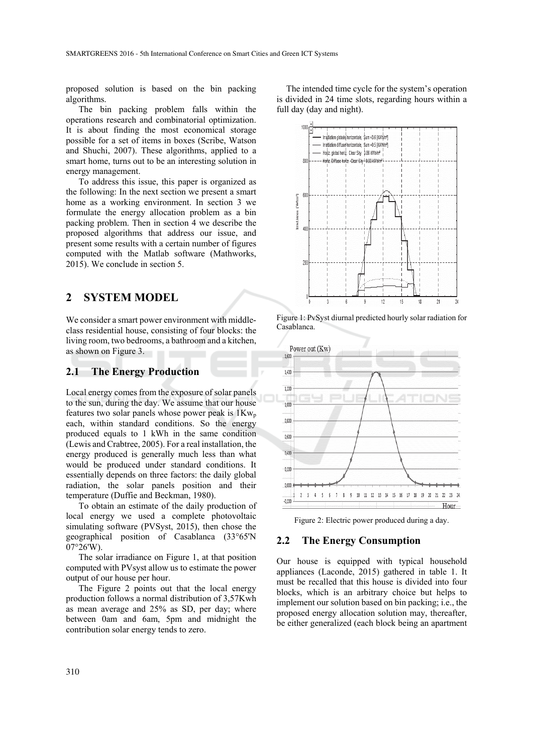proposed solution is based on the bin packing algorithms.

The bin packing problem falls within the operations research and combinatorial optimization. It is about finding the most economical storage possible for a set of items in boxes (Scribe, Watson and Shuchi, 2007). These algorithms, applied to a smart home, turns out to be an interesting solution in energy management.

To address this issue, this paper is organized as the following: In the next section we present a smart home as a working environment. In section 3 we formulate the energy allocation problem as a bin packing problem. Then in section 4 we describe the proposed algorithms that address our issue, and present some results with a certain number of figures computed with the Matlab software (Mathworks, 2015). We conclude in section 5.

## **2 SYSTEM MODEL**

We consider a smart power environment with middleclass residential house, consisting of four blocks: the living room, two bedrooms, a bathroom and a kitchen, as shown on Figure 3.

#### **2.1 The Energy Production**

Local energy comes from the exposure of solar panels to the sun, during the day. We assume that our house features two solar panels whose power peak is  $1Kw_p$ each, within standard conditions. So the energy produced equals to 1 kWh in the same condition (Lewis and Crabtree, 2005). For a real installation, the energy produced is generally much less than what would be produced under standard conditions. It essentially depends on three factors: the daily global radiation, the solar panels position and their temperature (Duffie and Beckman, 1980).

To obtain an estimate of the daily production of local energy we used a complete photovoltaic simulating software (PVSyst, 2015), then chose the geographical position of Casablanca (33°65'N  $07^{\circ}26^{\circ}$ W).

The solar irradiance on Figure 1, at that position computed with PVsyst allow us to estimate the power output of our house per hour.

The Figure 2 points out that the local energy production follows a normal distribution of 3,57Kwh as mean average and 25% as SD, per day; where between 0am and 6am, 5pm and midnight the contribution solar energy tends to zero.

The intended time cycle for the system's operation is divided in 24 time slots, regarding hours within a full day (day and night).



Figure 1: PvSyst diurnal predicted hourly solar radiation for Casablanca.



Figure 2: Electric power produced during a day.

#### **2.2 The Energy Consumption**

Our house is equipped with typical household appliances (Laconde, 2015) gathered in table 1. It must be recalled that this house is divided into four blocks, which is an arbitrary choice but helps to implement our solution based on bin packing; i.e., the proposed energy allocation solution may, thereafter, be either generalized (each block being an apartment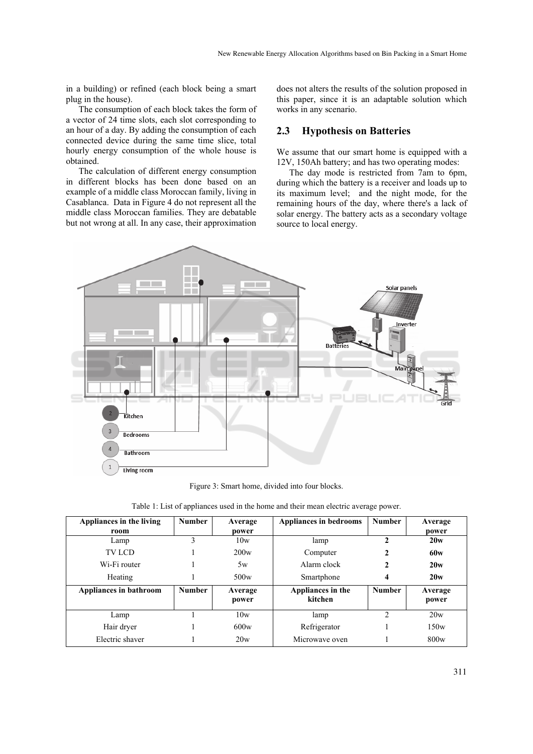in a building) or refined (each block being a smart plug in the house).

The consumption of each block takes the form of a vector of 24 time slots, each slot corresponding to an hour of a day. By adding the consumption of each connected device during the same time slice, total hourly energy consumption of the whole house is obtained.

The calculation of different energy consumption in different blocks has been done based on an example of a middle class Moroccan family, living in Casablanca. Data in Figure 4 do not represent all the middle class Moroccan families. They are debatable but not wrong at all. In any case, their approximation does not alters the results of the solution proposed in this paper, since it is an adaptable solution which works in any scenario.

#### **2.3 Hypothesis on Batteries**

We assume that our smart home is equipped with a 12V, 150Ah battery; and has two operating modes:

The day mode is restricted from 7am to 6pm, during which the battery is a receiver and loads up to its maximum level; and the night mode, for the remaining hours of the day, where there's a lack of solar energy. The battery acts as a secondary voltage source to local energy.



Figure 3: Smart home, divided into four blocks.

|  |  | Table 1: List of appliances used in the home and their mean electric average power. |  |
|--|--|-------------------------------------------------------------------------------------|--|
|  |  |                                                                                     |  |

| Appliances in the living | <b>Number</b> | Average          | Appliances in bedrooms       | <b>Number</b> | Average          |
|--------------------------|---------------|------------------|------------------------------|---------------|------------------|
| room                     |               | power            |                              |               | power            |
| Lamp                     | 3             | 10w              | lamp                         | $\mathbf{2}$  | 20w              |
| <b>TV LCD</b>            |               | 200w             | Computer                     | $\mathbf{2}$  | 60 <sub>w</sub>  |
| Wi-Fi router             |               | 5w               | Alarm clock                  | 2             | 20w              |
| Heating                  |               | 500w             | Smartphone                   | 4             | 20w              |
| Appliances in bathroom   | <b>Number</b> | Average<br>power | Appliances in the<br>kitchen | <b>Number</b> | Average<br>power |
| Lamp                     |               | 10w              | lamp                         | 2             | 20w              |
| Hair dryer               |               | 600w             | Refrigerator                 |               | 150w             |
| Electric shaver          |               | 20w              | Microwave oven               |               | 800w             |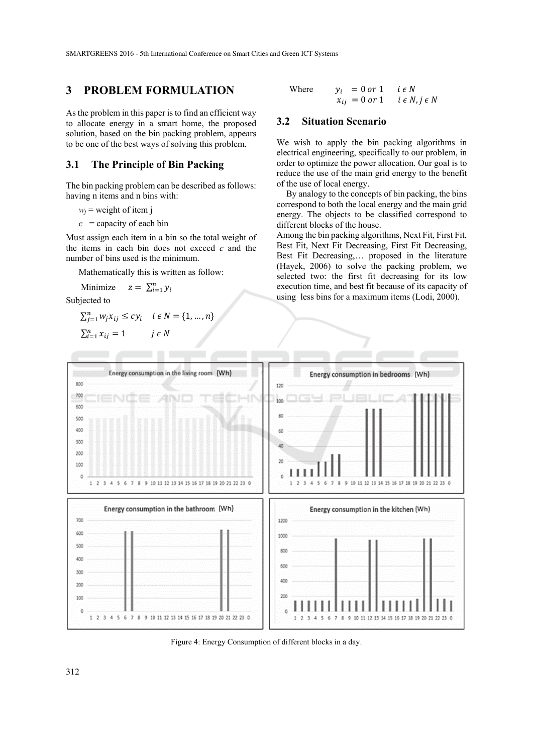## **3 PROBLEM FORMULATION**

As the problem in this paper is to find an efficient way to allocate energy in a smart home, the proposed solution, based on the bin packing problem, appears to be one of the best ways of solving this problem.

#### **3.1 The Principle of Bin Packing**

The bin packing problem can be described as follows: having n items and n bins with:

 $w_i$  = weight of item j

 $c =$  capacity of each bin

Must assign each item in a bin so the total weight of the items in each bin does not exceed *c* and the number of bins used is the minimum.

Mathematically this is written as follow:

Minimize  $z = \sum_{i=1}^{n} y_i$ 

Subjected to

$$
\sum_{j=1}^{n} w_j x_{ij} \le c y_i \quad i \in N = \{1, ..., n\}
$$

$$
\sum_{i=1}^{n} x_{ij} = 1 \qquad j \in N
$$

Where 
$$
y_i = 0 \text{ or } 1 \quad i \in N
$$
  
 $x_{ij} = 0 \text{ or } 1 \quad i \in N, j \in N$ 

#### **3.2 Situation Scenario**

We wish to apply the bin packing algorithms in electrical engineering, specifically to our problem, in order to optimize the power allocation. Our goal is to reduce the use of the main grid energy to the benefit of the use of local energy.

By analogy to the concepts of bin packing, the bins correspond to both the local energy and the main grid energy. The objects to be classified correspond to different blocks of the house.

Among the bin packing algorithms, Next Fit, First Fit, Best Fit, Next Fit Decreasing, First Fit Decreasing, Best Fit Decreasing,… proposed in the literature (Hayek, 2006) to solve the packing problem, we selected two: the first fit decreasing for its low execution time, and best fit because of its capacity of using less bins for a maximum items (Lodi, 2000).



Figure 4: Energy Consumption of different blocks in a day.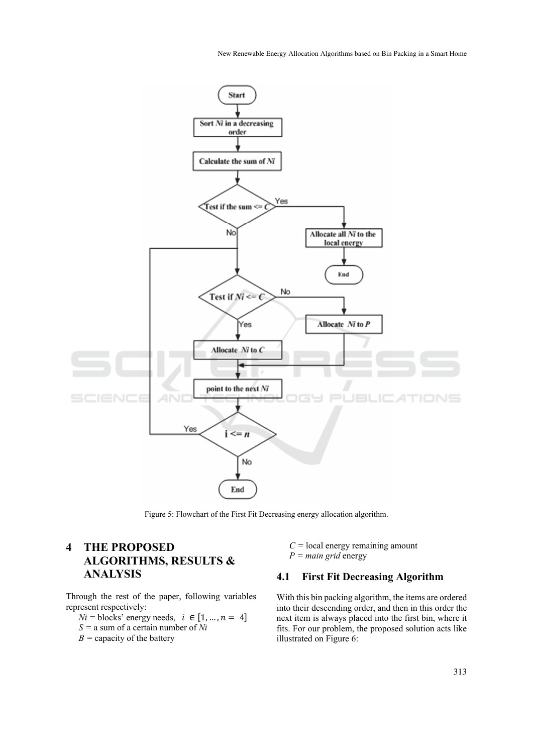New Renewable Energy Allocation Algorithms based on Bin Packing in a Smart Home



Figure 5: Flowchart of the First Fit Decreasing energy allocation algorithm.

## **4 THE PROPOSED ALGORITHMS, RESULTS & ANALYSIS**

Through the rest of the paper, following variables represent respectively:

 $Ni = \text{blocks}$ ' energy needs,  $i \in [1, ..., n = 4]$ 

- *S =* a sum of a certain number of *Ni*
- $B =$  capacity of the battery

 $C =$ local energy remaining amount *P = main grid* energy

## **4.1 First Fit Decreasing Algorithm**

With this bin packing algorithm, the items are ordered into their descending order, and then in this order the next item is always placed into the first bin, where it fits. For our problem, the proposed solution acts like illustrated on Figure 6: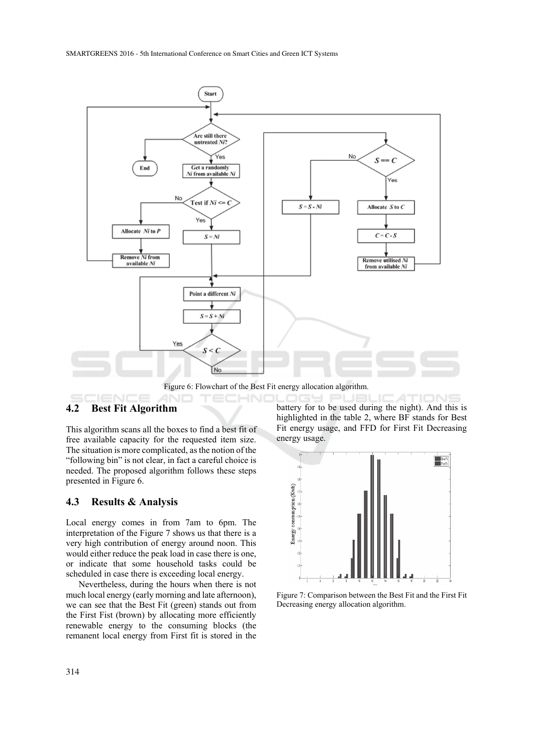

Figure 6: Flowchart of the Best Fit energy allocation algorithm.

#### **4.2 Best Fit Algorithm**

This algorithm scans all the boxes to find a best fit of free available capacity for the requested item size. The situation is more complicated, as the notion of the "following bin" is not clear, in fact a careful choice is needed. The proposed algorithm follows these steps presented in Figure 6.

#### **4.3 Results & Analysis**

Local energy comes in from 7am to 6pm. The interpretation of the Figure 7 shows us that there is a very high contribution of energy around noon. This would either reduce the peak load in case there is one, or indicate that some household tasks could be scheduled in case there is exceeding local energy.

Nevertheless, during the hours when there is not much local energy (early morning and late afternoon), we can see that the Best Fit (green) stands out from the First Fist (brown) by allocating more efficiently renewable energy to the consuming blocks (the remanent local energy from First fit is stored in the battery for to be used during the night). And this is highlighted in the table 2, where BF stands for Best Fit energy usage, and FFD for First Fit Decreasing energy usage.



Figure 7: Comparison between the Best Fit and the First Fit Decreasing energy allocation algorithm.